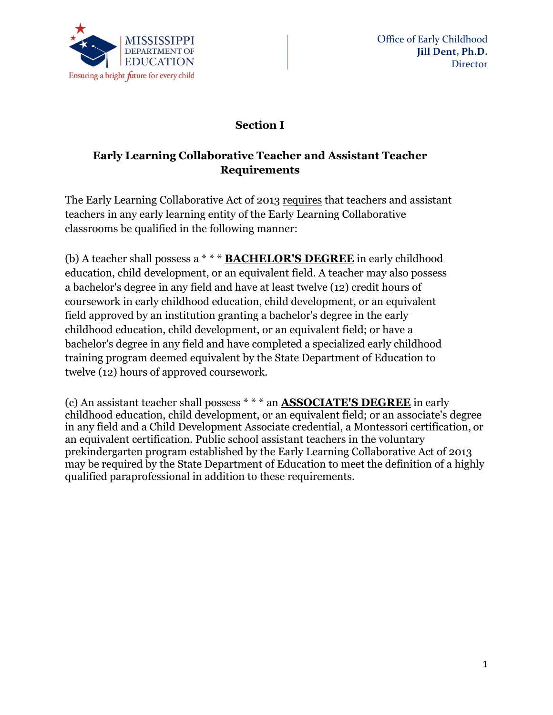

## **Section I**

# **Early Learning Collaborative Teacher and Assistant Teacher Requirements**

The Early Learning Collaborative Act of 2013 requires that teachers and assistant teachers in any early learning entity of the Early Learning Collaborative classrooms be qualified in the following manner:

(b) A teacher shall possess a \* \* \* **BACHELOR'S DEGREE** in early childhood education, child development, or an equivalent field. A teacher may also possess a bachelor's degree in any field and have at least twelve (12) credit hours of coursework in early childhood education, child development, or an equivalent field approved by an institution granting a bachelor's degree in the early childhood education, child development, or an equivalent field; or have a bachelor's degree in any field and have completed a specialized early childhood training program deemed equivalent by the State Department of Education to twelve (12) hours of approved coursework.

(c) An assistant teacher shall possess \* \* \* an **ASSOCIATE'S DEGREE** in early childhood education, child development, or an equivalent field; or an associate's degree in any field and a Child Development Associate credential, a Montessori certification, or an equivalent certification. Public school assistant teachers in the voluntary prekindergarten program established by the Early Learning Collaborative Act of 2013 may be required by the State Department of Education to meet the definition of a highly qualified paraprofessional in addition to these requirements.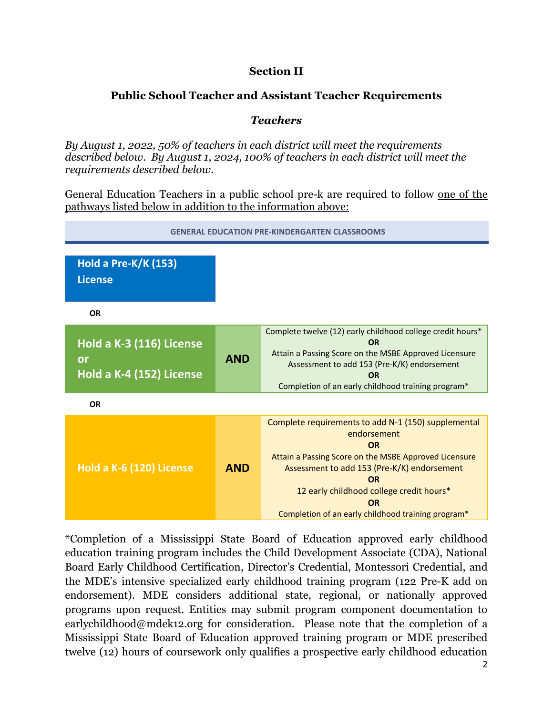## **Section II**

# **Public School Teacher and Assistant Teacher Requirements**

## *Teachers*

*By August 1, 2022, 50% of teachers in each district will meet the requirements described below. By August 1, 2024, 100% of teachers in each district will meet the requirements described below.* 

General Education Teachers in a public school pre-k are required to follow one of the pathways listed below in addition to the information above:



\*Completion of a Mississippi State Board of Education approved early childhood education training program includes the Child Development Associate (CDA), National Board Early Childhood Certification, Director's Credential, Montessori Credential, and the MDE's intensive specialized early childhood training program (122 Pre-K add on endorsement). MDE considers additional state, regional, or nationally approved programs upon request. Entities may submit program component documentation to earlychildhood@mdek12.org for consideration. Please note that the completion of a Mississippi State Board of Education approved training program or MDE prescribed twelve (12) hours of coursework only qualifies a prospective early childhood education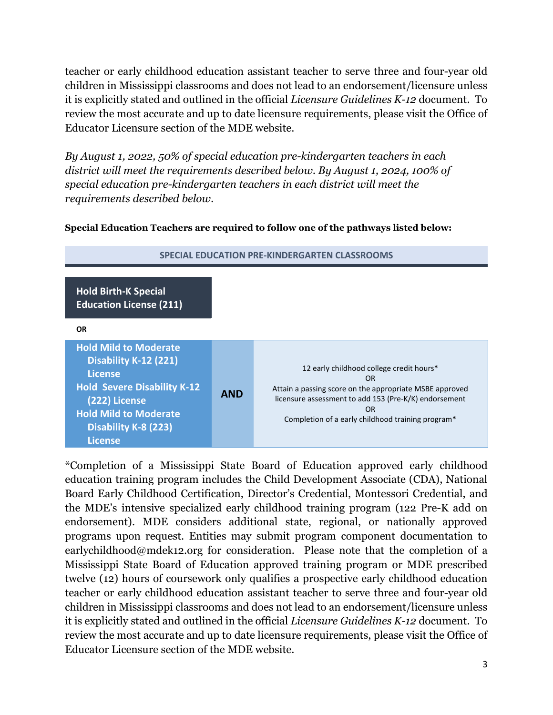teacher or early childhood education assistant teacher to serve three and four-year old children in Mississippi classrooms and does not lead to an endorsement/licensure unless it is explicitly stated and outlined in the official *Licensure Guidelines K-12* document. To review the most accurate and up to date licensure requirements, please visit the Office of Educator Licensure section of the MDE website.

*By August 1, 2022, 50% of special education pre-kindergarten teachers in each district will meet the requirements described below. By August 1, 2024, 100% of special education pre-kindergarten teachers in each district will meet the requirements described below.*

#### **Special Education Teachers are required to follow one of the pathways listed below:**

| <b>Hold Birth-K Special</b><br><b>Education License (211)</b>                                                                                                                              |            |                                                                                                                                                                                                                                             |
|--------------------------------------------------------------------------------------------------------------------------------------------------------------------------------------------|------------|---------------------------------------------------------------------------------------------------------------------------------------------------------------------------------------------------------------------------------------------|
| <b>OR</b>                                                                                                                                                                                  |            |                                                                                                                                                                                                                                             |
| <b>Hold Mild to Moderate</b><br>Disability K-12 (221)<br>License<br><b>Hold Severe Disability K-12</b><br>(222) License<br><b>Hold Mild to Moderate</b><br>Disability K-8 (223)<br>License | <b>AND</b> | 12 early childhood college credit hours*<br><b>OR</b><br>Attain a passing score on the appropriate MSBE approved<br>licensure assessment to add 153 (Pre-K/K) endorsement<br><b>OR</b><br>Completion of a early childhood training program* |

#### **SPECIAL EDUCATION PRE-KINDERGARTEN CLASSROOMS**

\*Completion of a Mississippi State Board of Education approved early childhood education training program includes the Child Development Associate (CDA), National Board Early Childhood Certification, Director's Credential, Montessori Credential, and the MDE's intensive specialized early childhood training program (122 Pre-K add on endorsement). MDE considers additional state, regional, or nationally approved programs upon request. Entities may submit program component documentation to earlychildhood@mdek12.org for consideration. Please note that the completion of a Mississippi State Board of Education approved training program or MDE prescribed twelve (12) hours of coursework only qualifies a prospective early childhood education teacher or early childhood education assistant teacher to serve three and four-year old children in Mississippi classrooms and does not lead to an endorsement/licensure unless it is explicitly stated and outlined in the official *Licensure Guidelines K-12* document. To review the most accurate and up to date licensure requirements, please visit the Office of Educator Licensure section of the MDE website.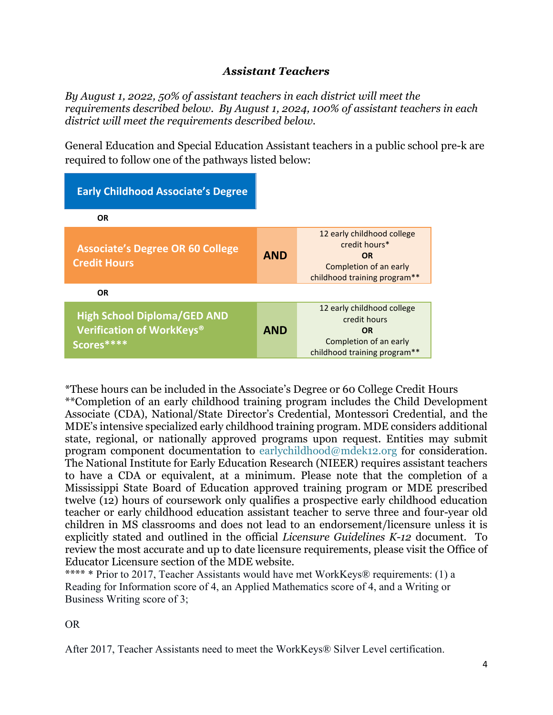## *Assistant Teachers*

*By August 1, 2022, 50% of assistant teachers in each district will meet the requirements described below. By August 1, 2024, 100% of assistant teachers in each district will meet the requirements described below.* 

General Education and Special Education Assistant teachers in a public school pre-k are required to follow one of the pathways listed below:

| <b>Early Childhood Associate's Degree</b>                                     |            |                                                                                                                    |
|-------------------------------------------------------------------------------|------------|--------------------------------------------------------------------------------------------------------------------|
| OR.                                                                           |            |                                                                                                                    |
| <b>Associate's Degree OR 60 College</b><br><b>Credit Hours</b>                | <b>AND</b> | 12 early childhood college<br>credit hours*<br><b>OR</b><br>Completion of an early<br>childhood training program** |
| <b>OR</b>                                                                     |            |                                                                                                                    |
| <b>High School Diploma/GED AND</b><br>Verification of WorkKeys®<br>Scores**** | <b>AND</b> | 12 early childhood college<br>credit hours<br><b>OR</b><br>Completion of an early<br>childhood training program**  |

\*These hours can be included in the Associate's Degree or 60 College Credit Hours \*\*Completion of an early childhood training program includes the Child Development Associate (CDA), National/State Director's Credential, Montessori Credential, and the MDE's intensive specialized early childhood training program. MDE considers additional state, regional, or nationally approved programs upon request. Entities may submit program component documentation to [earlychildhood@mdek12.org](mailto:earlychildhood@mdek12.org) for consideration. The National Institute for Early Education Research (NIEER) requires assistant teachers to have a CDA or equivalent, at a minimum. Please note that the completion of a Mississippi State Board of Education approved training program or MDE prescribed twelve (12) hours of coursework only qualifies a prospective early childhood education teacher or early childhood education assistant teacher to serve three and four-year old children in MS classrooms and does not lead to an endorsement/licensure unless it is explicitly stated and outlined in the official *Licensure Guidelines K-12* document. To review the most accurate and up to date licensure requirements, please visit the Office of Educator Licensure section of the MDE website.

\*\*\*\* \* Prior to 2017, Teacher Assistants would have met WorkKeys® requirements: (1) a Reading for Information score of 4, an Applied Mathematics score of 4, and a Writing or Business Writing score of 3;

OR

After 2017, Teacher Assistants need to meet the WorkKeys® Silver Level certification.